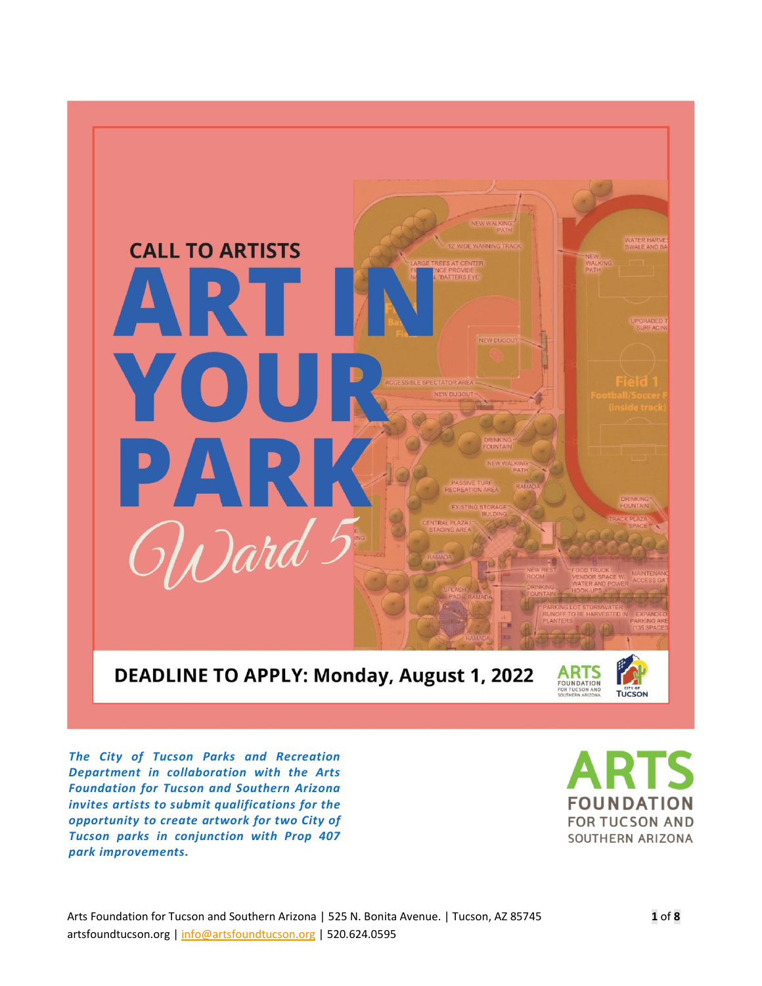

 *The City of Tucson Parks and Recreation Department in collaboration with the Arts Foundation for Tucson and Southern Arizona invites artists to submit qualifications for the opportunity to create artwork for two City of Tucson parks in conjunction with Prop 407 park improvements.*

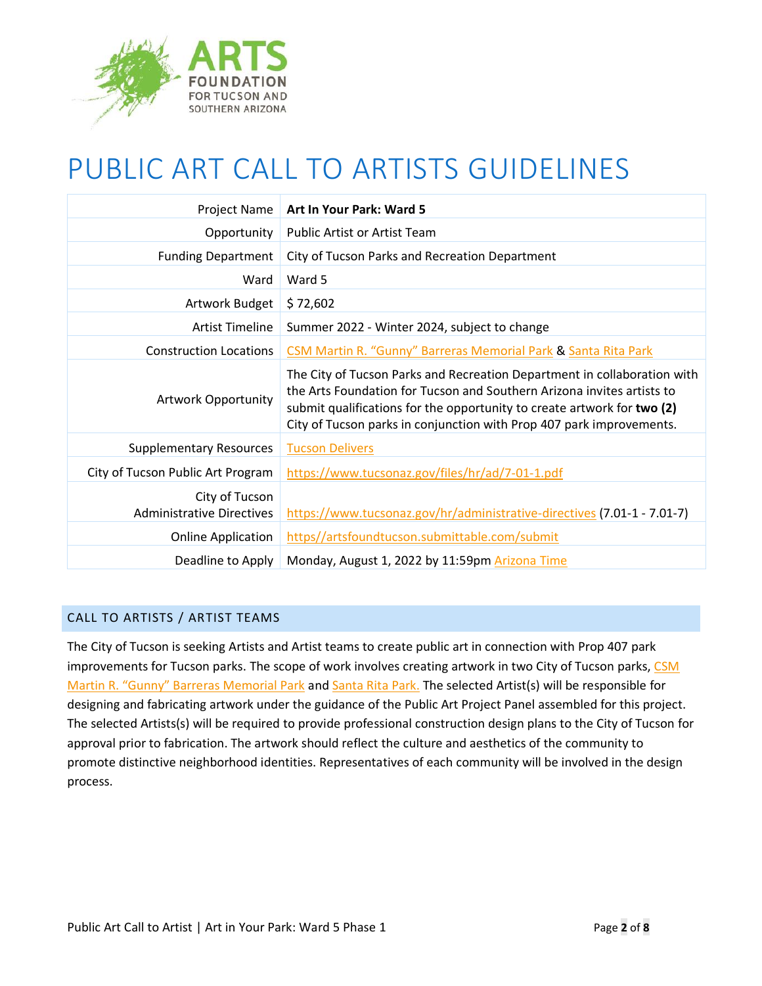

# PUBLIC ART CALL TO ARTISTS GUIDELINES

| Project Name                                       | Art In Your Park: Ward 5                                                                                                                                                                                                                                                                              |
|----------------------------------------------------|-------------------------------------------------------------------------------------------------------------------------------------------------------------------------------------------------------------------------------------------------------------------------------------------------------|
| Opportunity                                        | <b>Public Artist or Artist Team</b>                                                                                                                                                                                                                                                                   |
| <b>Funding Department</b>                          | City of Tucson Parks and Recreation Department                                                                                                                                                                                                                                                        |
| Ward                                               | Ward 5                                                                                                                                                                                                                                                                                                |
| Artwork Budget                                     | \$72,602                                                                                                                                                                                                                                                                                              |
| <b>Artist Timeline</b>                             | Summer 2022 - Winter 2024, subject to change                                                                                                                                                                                                                                                          |
| <b>Construction Locations</b>                      | CSM Martin R. "Gunny" Barreras Memorial Park & Santa Rita Park                                                                                                                                                                                                                                        |
| Artwork Opportunity                                | The City of Tucson Parks and Recreation Department in collaboration with<br>the Arts Foundation for Tucson and Southern Arizona invites artists to<br>submit qualifications for the opportunity to create artwork for two (2)<br>City of Tucson parks in conjunction with Prop 407 park improvements. |
| <b>Supplementary Resources</b>                     | <b>Tucson Delivers</b>                                                                                                                                                                                                                                                                                |
| City of Tucson Public Art Program                  | https://www.tucsonaz.gov/files/hr/ad/7-01-1.pdf                                                                                                                                                                                                                                                       |
| City of Tucson<br><b>Administrative Directives</b> | https://www.tucsonaz.gov/hr/administrative-directives (7.01-1 - 7.01-7)                                                                                                                                                                                                                               |
| <b>Online Application</b>                          | https//artsfoundtucson.submittable.com/submit                                                                                                                                                                                                                                                         |
| Deadline to Apply                                  | Monday, August 1, 2022 by 11:59pm Arizona Time                                                                                                                                                                                                                                                        |

# CALL TO ARTISTS / ARTIST TEAMS

The City of Tucson is seeking Artists and Artist teams to create public art in connection with Prop 407 park improvements for Tucson parks. The scope of work involves creating artwork in two City of Tucson parks, CSM [Martin R. "Gunny" Barreras Memorial Park](https://tucsondelivers.tucsonaz.gov/pages/gunnypark) and [Santa Rita Park.](https://tucsondelivers.tucsonaz.gov/pages/santarita) The selected Artist(s) will be responsible for designing and fabricating artwork under the guidance of the Public Art Project Panel assembled for this project. The selected Artists(s) will be required to provide professional construction design plans to the City of Tucson for approval prior to fabrication. The artwork should reflect the culture and aesthetics of the community to promote distinctive neighborhood identities. Representatives of each community will be involved in the design process.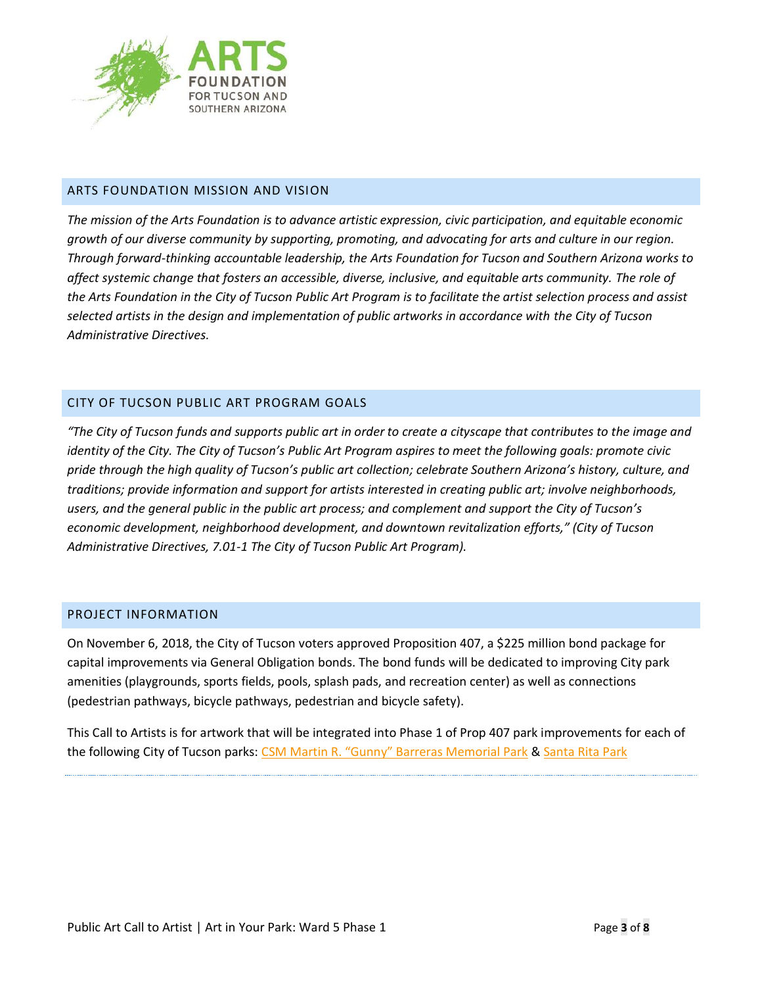

## ARTS FOUNDATION MISSION AND VISION

*The mission of the Arts Foundation is to advance artistic expression, civic participation, and equitable economic growth of our diverse community by supporting, promoting, and advocating for arts and culture in our region. Through forward-thinking accountable leadership, the Arts Foundation for Tucson and Southern Arizona works to affect systemic change that fosters an accessible, diverse, inclusive, and equitable arts community. The role of the Arts Foundation in the City of Tucson Public Art Program is to facilitate the artist selection process and assist selected artists in the design and implementation of public artworks in accordance with the City of Tucson Administrative Directives.*

# CITY OF TUCSON PUBLIC ART PROGRAM GOALS

*"The City of Tucson funds and supports public art in order to create a cityscape that contributes to the image and identity of the City. The City of Tucson's Public Art Program aspires to meet the following goals: promote civic pride through the high quality of Tucson's public art collection; celebrate Southern Arizona's history, culture, and traditions; provide information and support for artists interested in creating public art; involve neighborhoods, users, and the general public in the public art process; and complement and support the City of Tucson's economic development, neighborhood development, and downtown revitalization efforts," (City of Tucson Administrative Directives, 7.01-1 The City of Tucson Public Art Program).*

#### PROJECT INFORMATION

On November 6, 2018, the City of Tucson voters approved Proposition 407, a \$225 million bond package for capital improvements via General Obligation bonds. The bond funds will be dedicated to improving City park amenities (playgrounds, sports fields, pools, splash pads, and recreation center) as well as connections (pedestrian pathways, bicycle pathways, pedestrian and bicycle safety).

This Call to Artists is for artwork that will be integrated into Phase 1 of Prop 407 park improvements for each of the following City of Tucson parks: [CSM Martin R. "Gunny" Barreras Memorial Park](https://tucsondelivers.tucsonaz.gov/pages/gunnypark) & [Santa Rita Park](https://tucsondelivers.tucsonaz.gov/pages/santarita)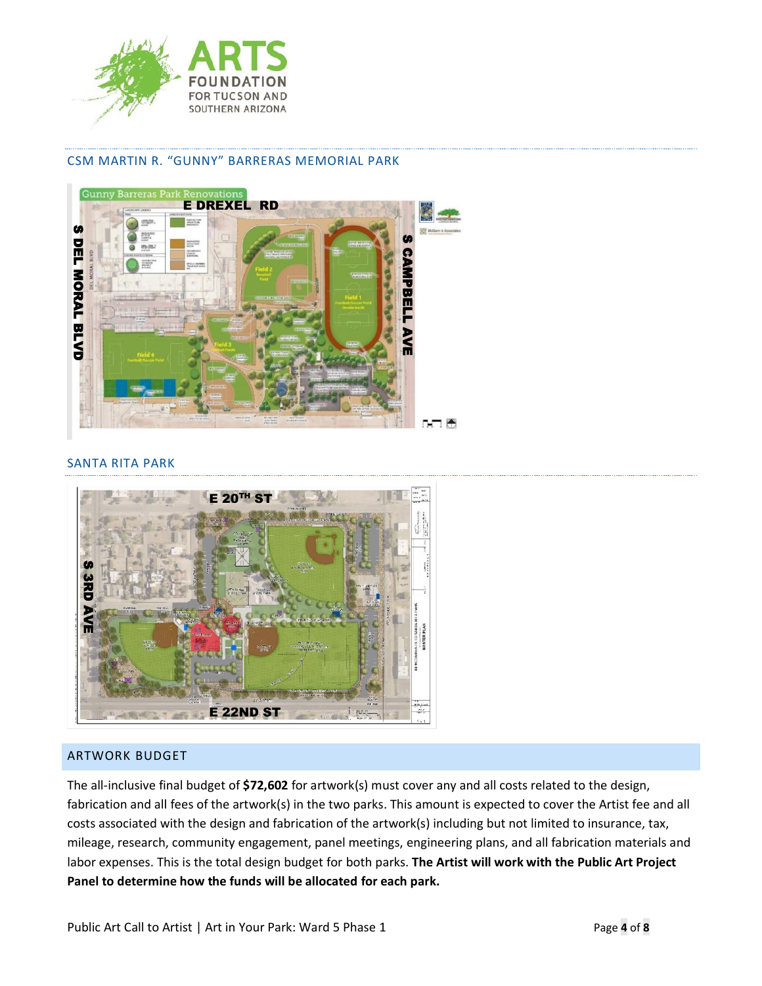

#### CSM MARTIN R. "GUNNY" BARRERAS MEMORIAL PARK



#### SANTA RITA PARK



# ARTWORK BUDGET

The all-inclusive final budget of **\$72,602** for artwork(s) must cover any and all costs related to the design, fabrication and all fees of the artwork(s) in the two parks. This amount is expected to cover the Artist fee and all costs associated with the design and fabrication of the artwork(s) including but not limited to insurance, tax, mileage, research, community engagement, panel meetings, engineering plans, and all fabrication materials and labor expenses. This is the total design budget for both parks. **The Artist will work with the Public Art Project Panel to determine how the funds will be allocated for each park.**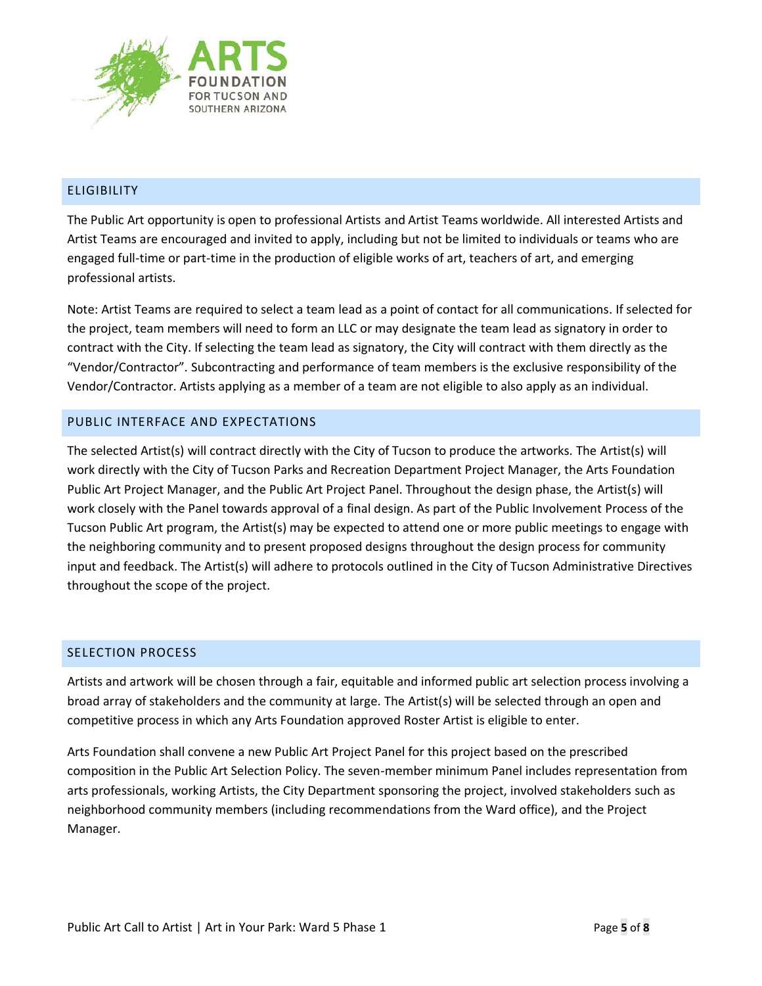

# ELIGIBILITY

The Public Art opportunity is open to professional Artists and Artist Teams worldwide. All interested Artists and Artist Teams are encouraged and invited to apply, including but not be limited to individuals or teams who are engaged full-time or part-time in the production of eligible works of art, teachers of art, and emerging professional artists.

Note: Artist Teams are required to select a team lead as a point of contact for all communications. If selected for the project, team members will need to form an LLC or may designate the team lead as signatory in order to contract with the City. If selecting the team lead as signatory, the City will contract with them directly as the "Vendor/Contractor". Subcontracting and performance of team members is the exclusive responsibility of the Vendor/Contractor. Artists applying as a member of a team are not eligible to also apply as an individual.

## PUBLIC INTERFACE AND EXPECTATIONS

The selected Artist(s) will contract directly with the City of Tucson to produce the artworks. The Artist(s) will work directly with the City of Tucson Parks and Recreation Department Project Manager, the Arts Foundation Public Art Project Manager, and the Public Art Project Panel. Throughout the design phase, the Artist(s) will work closely with the Panel towards approval of a final design. As part of the Public Involvement Process of the Tucson Public Art program, the Artist(s) may be expected to attend one or more public meetings to engage with the neighboring community and to present proposed designs throughout the design process for community input and feedback. The Artist(s) will adhere to protocols outlined in the City of Tucson Administrative Directives throughout the scope of the project.

# SELECTION PROCESS

Artists and artwork will be chosen through a fair, equitable and informed public art selection process involving a broad array of stakeholders and the community at large. The Artist(s) will be selected through an open and competitive process in which any Arts Foundation approved Roster Artist is eligible to enter.

Arts Foundation shall convene a new Public Art Project Panel for this project based on the prescribed composition in the Public Art Selection Policy. The seven-member minimum Panel includes representation from arts professionals, working Artists, the City Department sponsoring the project, involved stakeholders such as neighborhood community members (including recommendations from the Ward office), and the Project Manager.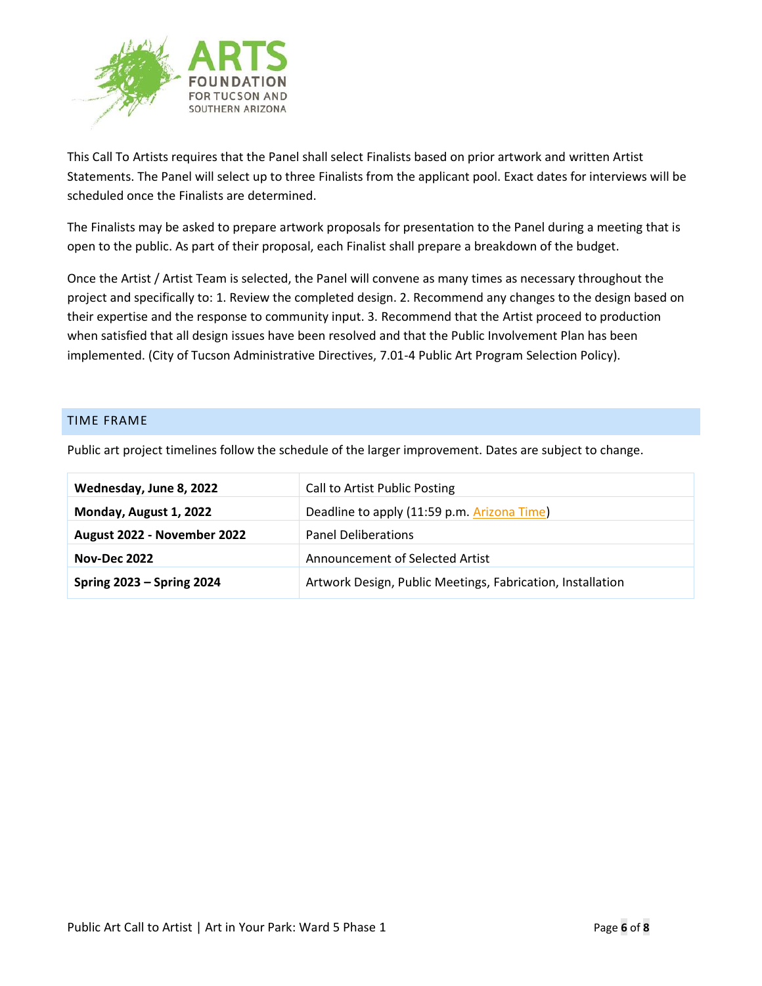

This Call To Artists requires that the Panel shall select Finalists based on prior artwork and written Artist Statements. The Panel will select up to three Finalists from the applicant pool. Exact dates for interviews will be scheduled once the Finalists are determined.

The Finalists may be asked to prepare artwork proposals for presentation to the Panel during a meeting that is open to the public. As part of their proposal, each Finalist shall prepare a breakdown of the budget.

Once the Artist / Artist Team is selected, the Panel will convene as many times as necessary throughout the project and specifically to: 1. Review the completed design. 2. Recommend any changes to the design based on their expertise and the response to community input. 3. Recommend that the Artist proceed to production when satisfied that all design issues have been resolved and that the Public Involvement Plan has been implemented. (City of Tucson Administrative Directives, 7.01-4 Public Art Program Selection Policy).

#### TIME FRAME

| Wednesday, June 8, 2022          | Call to Artist Public Posting                              |
|----------------------------------|------------------------------------------------------------|
| Monday, August 1, 2022           | Deadline to apply (11:59 p.m. Arizona Time)                |
| August 2022 - November 2022      | <b>Panel Deliberations</b>                                 |
| <b>Nov-Dec 2022</b>              | Announcement of Selected Artist                            |
| <b>Spring 2023 - Spring 2024</b> | Artwork Design, Public Meetings, Fabrication, Installation |

Public art project timelines follow the schedule of the larger improvement. Dates are subject to change.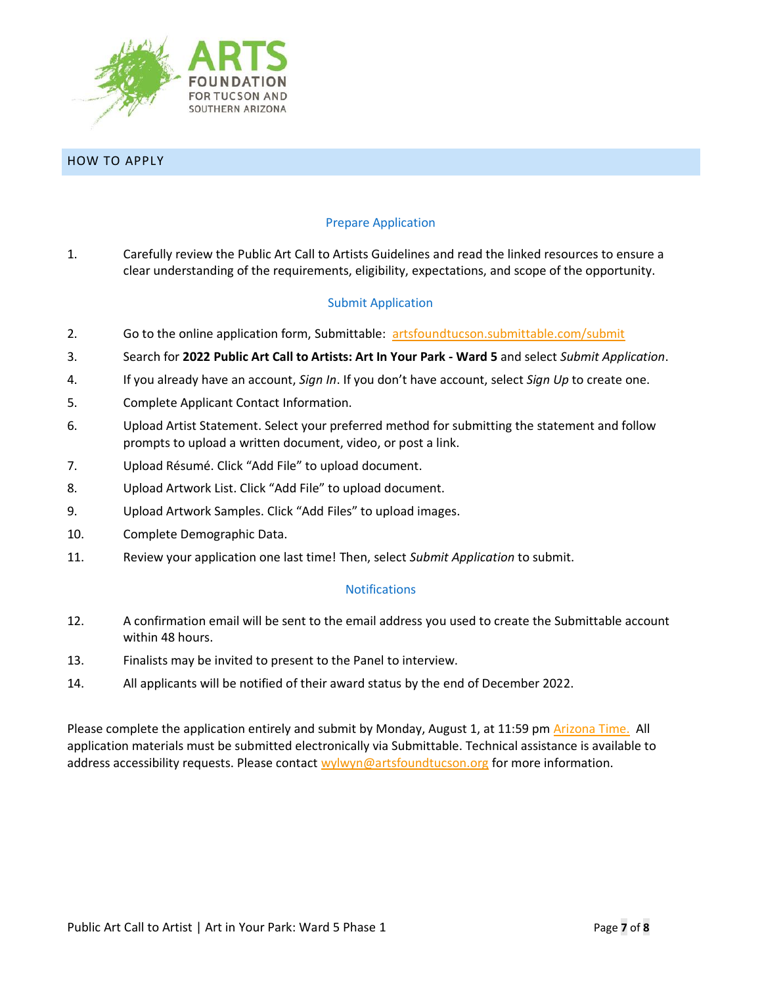

HOW TO APPLY

### Prepare Application

1. Carefully review the Public Art Call to Artists Guidelines and read the linked resources to ensure a clear understanding of the requirements, eligibility, expectations, and scope of the opportunity.

## Submit Application

- 2. Go to the online application form, Submittable: [artsfoundtucson.submittable.com/submit](https://artsfoundtucson.submittable.com/submit)
- 3. Search for **2022 Public Art Call to Artists: Art In Your Park - Ward 5** and select *Submit Application*.
- 4. If you already have an account, *Sign In*. If you don't have account, select *Sign Up* to create one.
- 5. Complete Applicant Contact Information.
- 6. Upload Artist Statement. Select your preferred method for submitting the statement and follow prompts to upload a written document, video, or post a link.
- 7. Upload Résumé. Click "Add File" to upload document.
- 8. Upload Artwork List. Click "Add File" to upload document.
- 9. Upload Artwork Samples. Click "Add Files" to upload images.
- 10. Complete Demographic Data.
- 11. Review your application one last time! Then, select *Submit Application* to submit.

#### **Notifications**

- 12. A confirmation email will be sent to the email address you used to create the Submittable account within 48 hours.
- 13. Finalists may be invited to present to the Panel to interview.
- 14. All applicants will be notified of their award status by the end of December 2022.

Please complete the application entirely and submit by Monday, August 1, at 11:59 pm [Arizona](https://www.timeanddate.com/worldclock/usa/tucson) Time. All application materials must be submitted electronically via Submittable. Technical assistance is available to address accessibility requests. Please contact [wylwyn@artsfoundtucson.org](mailto:wylwyn@artsfoundtucson.org) for more information.